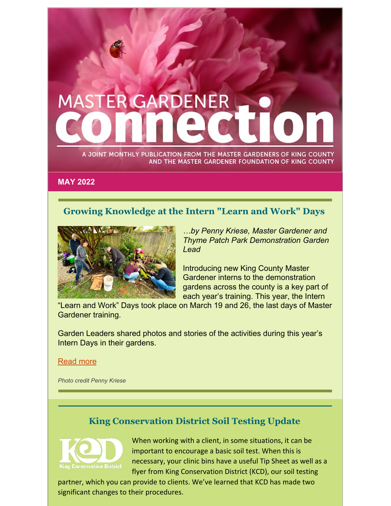# **MASTER GARDENER**

A JOINT MONTHLY PUBLICATION FROM THE MASTER GARDENERS OF KING COUNTY AND THE MASTER GARDENER FOUNDATION OF KING COUNTY

**MAY 2022**

# **Growing Knowledge at the Intern "Learn and Work" Days**



*…by Penny Kriese, Master Gardener and Thyme Patch Park Demonstration Garden Lead*

Introducing new King County Master Gardener interns to the demonstration gardens across the county is a key part of each year's training. This year, the Intern

"Learn and Work" Days took place on March 19 and 26, the last days of Master Gardener training.

Garden Leaders shared photos and stories of the activities during this year's Intern Days in their gardens.

#### [Read](https://mgfkc.org/wp-content/uploads/2022/05/May-2022-Intern-Learn-Work-GardenDays.pdf) more

*Photo credit Penny Kriese*

# **King Conservation District Soil Testing Update**



When working with a client, in some situations, it can be important to encourage a basic soil test. When this is necessary, your clinic bins have a useful Tip Sheet as well as a flyer from King Conservation District (KCD), our soil testing

partner, which you can provide to clients. We've learned that KCD has made two significant changes to their procedures.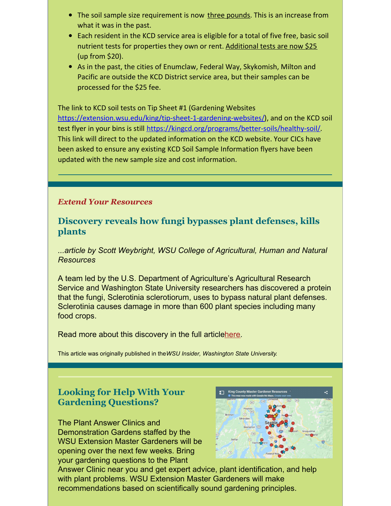- The soil sample size requirement is now three pounds. This is an increase from what it was in the past.
- Each resident in the KCD service area is eligible for a total of five free, basic soil nutrient tests for properties they own or rent. Additional tests are now \$25 (up from \$20).
- As in the past, the cities of Enumclaw, Federal Way, Skykomish, Milton and Pacific are outside the KCD District service area, but their samples can be processed for the \$25 fee.

The link to KCD soil tests on Tip Sheet #1 (Gardening Websites [https://extension.wsu.edu/king/tip-sheet-1-gardening-websites/\)](https://extension.wsu.edu/king/tip-sheet-1-gardening-websites/), and on the KCD soil test flyer in your bins is still [https://kingcd.org/programs/better-soils/healthy-soil/.](https://kingcd.org/programs/better-soils/healthy-soil/) This link will direct to the updated information on the KCD website. Your CICs have been asked to ensure any existing KCD Soil Sample Information flyers have been updated with the new sample size and cost information.

#### *Extend Your Resources*

#### **Discovery reveals how fungi bypasses plant defenses, kills plants**

*...article by Scott Weybright, WSU College of Agricultural, Human and Natural Resources*

A team led by the U.S. Department of Agriculture's Agricultural Research Service and Washington State University researchers has discovered a protein that the fungi, Sclerotinia sclerotiorum, uses to bypass natural plant defenses. Sclerotinia causes damage in more than 600 plant species including many food crops.

Read more about this discovery in the full articl[ehere.](https://news.wsu.edu/news/2022/04/25/discovery-reveals-how-fungi-bypasses-plant-defenses-kills-plants/)

This article was originally published in the*WSU Insider, Washington State University*.

# **Looking for Help With Your Gardening Questions?**

The Plant Answer Clinics and Demonstration Gardens staffed by the WSU Extension Master Gardeners will be opening over the next few weeks. Bring your gardening questions to the Plant



Answer Clinic near you and get expert advice, plant identification, and help with plant problems. WSU Extension Master Gardeners will make recommendations based on scientifically sound gardening principles.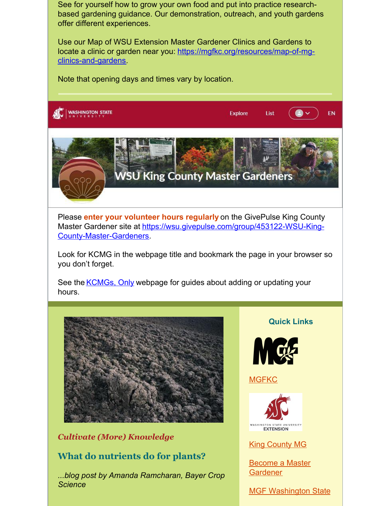See for yourself how to grow your own food and put into practice researchbased gardening guidance. Our demonstration, outreach, and youth gardens offer different experiences.

Use our Map of WSU Extension Master Gardener Clinics and Gardens to locate a clinic or garden near you: [https://mgfkc.org/resources/map-of-mg](https://www.mgfkc.org/resources/map-of-mg-clinics-and-gardens)clinics-and-gardens.

Note that opening days and times vary by location.

**WASHINGTON STATE** 



Please **enter your volunteer hours regularly** on the GivePulse King County Master Gardener site at [https://wsu.givepulse.com/group/453122-WSU-King-](https://wsu.givepulse.com/group/453122-WSU-King-County-Master-Gardeners)County-Master-Gardeners.

Look for KCMG in the webpage title and bookmark the page in your browser so you don't forget.

See the [KCMGs,](https://extension.wsu.edu/king/gardening/king-county-master-gardeners-only/) Only webpage for guides about adding or updating your hours.



#### *Cultivate (More) Knowledge*

#### **What do nutrients do for plants?**

*...blog post by Amanda Ramcharan, Bayer Crop Science*

**Quick Links**

 $\bullet$ 

**EN** 

List

**Explore** 



**[MGFKC](https://www.mgfkc.org/)** 



King [County](https://kingcountymg.org) MG

Become a Master **[Gardener](https://extension.wsu.edu/king/gardening/become-a-master-gardener/)** 

MGF [Washington](http://mgfws.org/) State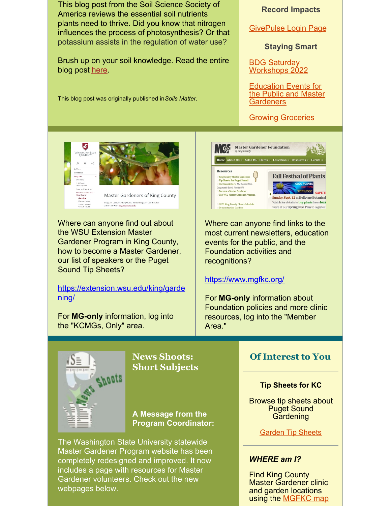

webpages below.

Master Gardener clinic and garden locations using the **[MGFKC](https://www.mgfkc.org/resources/map-of-mg-clinics-and-gardens)** map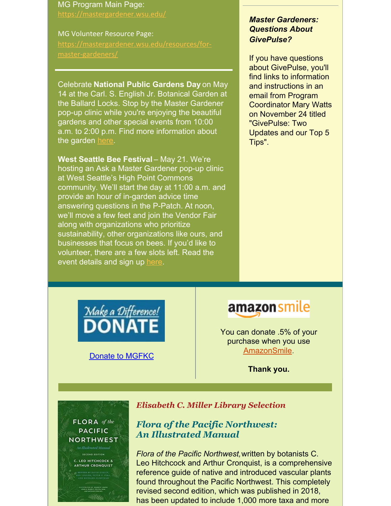# MG Program Main Page:

<https://mastergardener.wsu.edu/>

#### MG Volunteer Resource Page: [https://mastergardener.wsu.edu/resources/for](https://mastergardener.wsu.edu/resources/for-master-gardeners/)master-gardeners/

Celebrate **National Public Gardens Day** on May 14 at the Carl. S. English Jr. Botanical Garden at the Ballard Locks. Stop by the Master Gardener pop-up clinic while you're enjoying the beautiful gardens and other special events from 10:00 a.m. to 2:00 p.m. Find more information about the garden [here.](https://www.ballardlocks.org/carl-s-english-garden.html)

**West Seattle Bee Festival** – May 21. We're hosting an Ask a Master Gardener pop-up clinic at West Seattle's High Point Commons community. We'll start the day at 11:00 a.m. and provide an hour of in-garden advice time answering questions in the P-Patch. At noon, we'll move a few feet and join the Vendor Fair along with organizations who prioritize sustainability, other organizations like ours, and businesses that focus on bees. If you'd like to volunteer, there are a few slots left. Read the event details and sign up [here.](https://www.signupgenius.com/go/60b094aaca92aa6fc1-west)

#### *Master Gardeners: Questions About GivePulse?*

If you have questions about GivePulse, you'll find links to information and instructions in an email from Program Coordinator Mary Watts on November 24 titled "GivePulse: Two Updates and our Top 5 Tips".



Donate to [MGFKC](https://www.mgfkc.org/support-us/donate)

# amazon smile

You can donate .5% of your purchase when you use [AmazonSmile.](https://smile.amazon.com/)

**Thank you.**

# FLORA of the **PACIFIC** NORTHWEST

C. LEO HITCHCOCK & **ARTHUR CRONQUIST** 

#### *Elisabeth C. Miller Library Selection*

# *Flora of the Pacific Northwest: An Illustrated Manual*

*Flora of the Pacific Northwest,*written by botanists C. Leo Hitchcock and Arthur Cronquist, is a comprehensive reference guide of native and introduced vascular plants found throughout the Pacific Northwest. This completely revised second edition, which was published in 2018, has been updated to include 1,000 more taxa and more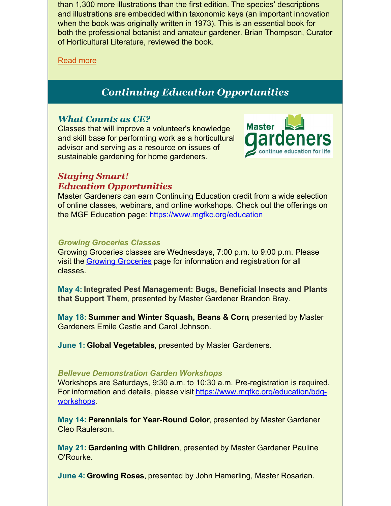than 1,300 more illustrations than the first edition. The species' descriptions and illustrations are embedded within taxonomic keys (an important innovation when the book was originally written in 1973). This is an essential book for both the professional botanist and amateur gardener. Brian Thompson, Curator of Horticultural Literature, reviewed the book.

#### [Read](https://mgfkc.org/wp-content/uploads/2022/05/May-2022-MillerLibrary-Flora-of-the-PNW.pdf) more

# *Continuing Education Opportunities*

# *What Counts as CE?*

Classes that will improve a volunteer's knowledge and skill base for performing work as a horticultural advisor and serving as a resource on issues of sustainable gardening for home gardeners.



### *Staying Smart! Education Opportunities*

Master Gardeners can earn Continuing Education credit from a wide selection of online classes, webinars, and online workshops. Check out the offerings on the MGF Education page: [https://www.mgfkc.org/education](https://www.mgfkc.org/education/)

#### *Growing Groceries Classes*

Growing Groceries classes are Wednesdays, 7:00 p.m. to 9:00 p.m. Please visit the Growing [Groceries](https://www.mgfkc.org/education/growinggroceries) page for information and registration for all classes.

**May 4: Integrated Pest Management: Bugs, Beneficial Insects and Plants that Support Them**, presented by Master Gardener Brandon Bray.

**May 18: Summer and Winter Squash, Beans & Corn**, presented by Master Gardeners Emile Castle and Carol Johnson.

**June 1: Global Vegetables**, presented by Master Gardeners.

#### *Bellevue Demonstration Garden Workshops*

Workshops are Saturdays, 9:30 a.m. to 10:30 a.m. Pre-registration is required. For information and details, please visit [https://www.mgfkc.org/education/bdg](https://www.mgfkc.org/education/bdg-workshops)workshops.

**May 14: Perennials for Year-Round Color**, presented by Master Gardener Cleo Raulerson.

**May 21: Gardening with Children**, presented by Master Gardener Pauline O'Rourke.

**June 4: Growing Roses**, presented by John Hamerling, Master Rosarian.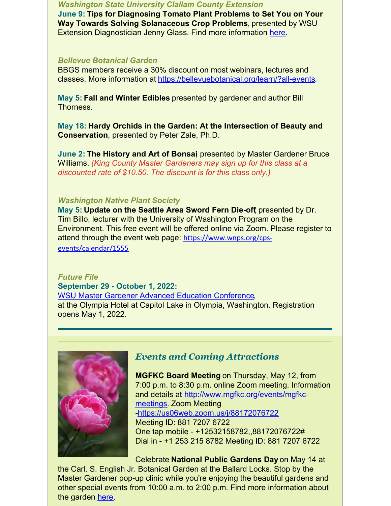*Washington State University Clallam County Extension*

**June 9: Tips for Diagnosing Tomato Plant Problems to Set You on Your Way Towards Solving Solanaceous Crop Problems**, presented by WSU Extension Diagnostician Jenny Glass. Find more information [here.](https://extension.wsu.edu/clallam/event/green-thumb-lecture-series-june-9-2022/)

#### *Bellevue Botanical Garden*

BBGS members receive a 30% discount on most webinars, lectures and classes. More information at [https://bellevuebotanical.org/learn/?all-events.](https://bellevuebotanical.org/webinars/)

**May 5: Fall and Winter Edibles** presented by gardener and author Bill Thorness.

**May 18: Hardy Orchids in the Garden: At the Intersection of Beauty and Conservation**, presented by Peter Zale, Ph.D.

**June 2: The History and Art of Bonsai**, presented by Master Gardener Bruce Williams. *(King County Master Gardeners may sign up for this class at a discounted rate of \$10.50. The discount is for this class only.)*

#### *Washington Native Plant Society*

**May 5: Update on the Seattle Area Sword Fern Die-off**, presented by Dr. Tim Billo, lecturer with the University of Washington Program on the Environment. This free event will be offered online via Zoom. Please register to attend through the event web page: [https://www.wnps.org/cps](https://www.wnps.org/cps-events/calendar/1555)events/calendar/1555

*Future File* **September 29 - October 1, 2022:** WSU Master Gardener Advanced Education [Conference,](https://mgfws.org/) at the Olympia Hotel at Capitol Lake in Olympia, Washington. Registration opens May 1, 2022.



# *Events and Coming Attractions*

**MGFKC Board Meeting** on Thursday, May 12, from 7:00 p.m. to 8:30 p.m. online Zoom meeting. Information and details at [http://www.mgfkc.org/events/mgfkc](https://www.mgfkc.org/events/mgfkc-meetings)meetings. Zoom Meeting -https://us06web.zoom.us/j/88172076722 Meeting ID: 881 7207 6722 One tap mobile - +12532158782,,88172076722# Dial in - +1 253 215 8782 Meeting ID: 881 7207 6722

Celebrate **National Public Gardens Day** on May 14 at the Carl. S. English Jr. Botanical Garden at the Ballard Locks. Stop by the Master Gardener pop-up clinic while you're enjoying the beautiful gardens and other special events from 10:00 a.m. to 2:00 p.m. Find more information about the garden [here.](https://www.ballardlocks.org/carl-s-english-garden.html)